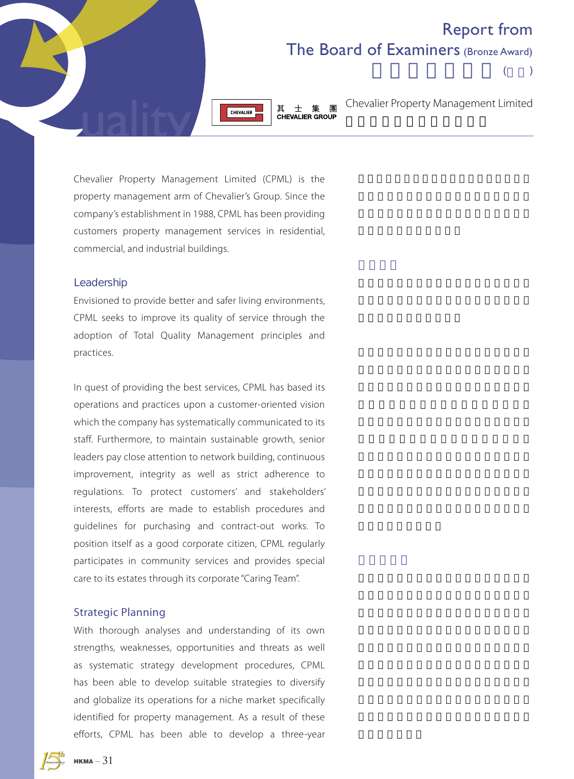## Report from The Board of Examiners (Bronze Award)



其士集團 **CHEVALIER GROUP** 

Chevalier Property Management Limited

 $($ 

Chevalier Property Management Limited (CPML) is the property management arm of Chevalier's Group. Since the company's establishment in 1988, CPML has been providing customers property management services in residential, commercial, and industrial buildings.

#### Leadership

Envisioned to provide better and safer living environments, CPML seeks to improve its quality of service through the adoption of Total Quality Management principles and practices.

In quest of providing the best services, CPML has based its operations and practices upon a customer-oriented vision which the company has systematically communicated to its staff. Furthermore, to maintain sustainable growth, senior leaders pay close attention to network building, continuous improvement, integrity as well as strict adherence to regulations. To protect customers' and stakeholders' interests, efforts are made to establish procedures and guidelines for purchasing and contract-out works. To position itself as a good corporate citizen, CPML regularly participates in community services and provides special care to its estates through its corporate "Caring Team".

### Strategic Planning

With thorough analyses and understanding of its own strengths, weaknesses, opportunities and threats as well as systematic strategy development procedures, CPML has been able to develop suitable strategies to diversify and globalize its operations for a niche market specifically identified for property management. As a result of these efforts, CPML has been able to develop a three-year

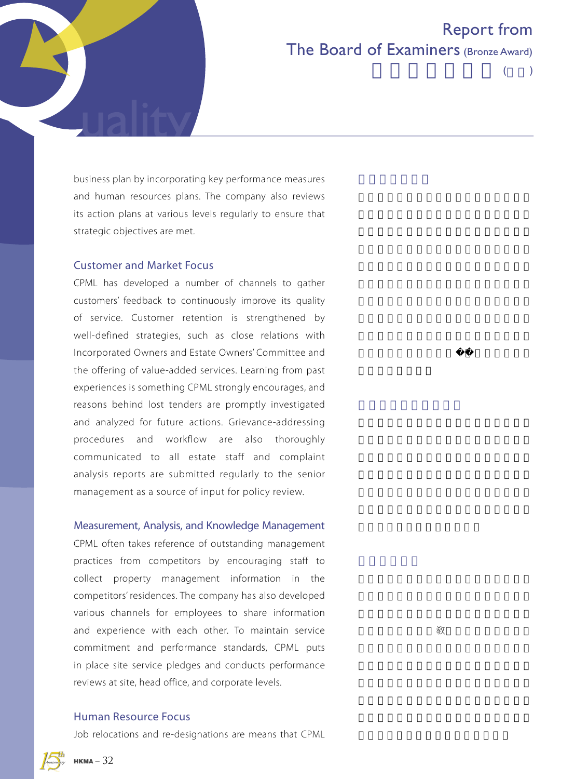

# Report from The Board of Examiners (Bronze Award)

 $($ 

business plan by incorporating key performance measures and human resources plans. The company also reviews its action plans at various levels regularly to ensure that strategic objectives are met.

#### Customer and Market Focus

CPML has developed a number of channels to gather customers' feedback to continuously improve its quality of service. Customer retention is strengthened by well-defined strategies, such as close relations with Incorporated Owners and Estate Owners' Committee and the offering of value-added services. Learning from past experiences is something CPML strongly encourages, and reasons behind lost tenders are promptly investigated and analyzed for future actions. Grievance-addressing procedures and workflow are also thoroughly communicated to all estate staff and complaint analysis reports are submitted regularly to the senior management as a source of input for policy review.

### Measurement, Analysis, and Knowledge Management

CPML often takes reference of outstanding management practices from competitors by encouraging staff to collect property management information in the competitors' residences. The company has also developed various channels for employees to share information and experience with each other. To maintain service commitment and performance standards, CPML puts in place site service pledges and conducts performance reviews at site, head office, and corporate levels.

## Human Resource Focus

Job relocations and re-designations are means that CPML

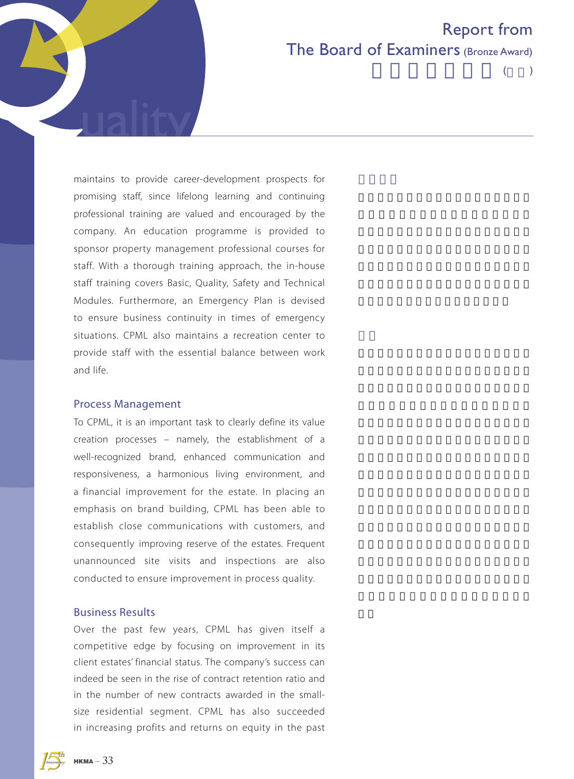

 $($ 

maintains to provide career-development prospects for promising staff, since lifelong learning and continuing professional training are valued and encouraged by the company. An education programme is provided to sponsor property management professional courses for staff. With a thorough training approach, the in-house staff training covers Basic, Quality, Safety and Technical Modules. Furthermore, an Emergency Plan is devised to ensure business continuity in times of emergency situations. CPML also maintains a recreation center to provide staff with the essential balance between work and life.

#### Process Management

To CPML, it is an important task to clearly define its value creation processes – namely, the establishment of a well-recognized brand, enhanced communication and responsiveness, a harmonious living environment, and a financial improvement for the estate. In placing an emphasis on brand building, CPML has been able to establish close communications with customers, and consequently improving reserve of the estates. Frequent unannounced site visits and inspections are also conducted to ensure improvement in process quality.

### Business Results

Over the past few years, CPML has given itself a competitive edge by focusing on improvement in its client estates' financial status. The company's success can indeed be seen in the rise of contract retention ratio and in the number of new contracts awarded in the smallsize residential segment. CPML has also succeeded in increasing profits and returns on equity in the past